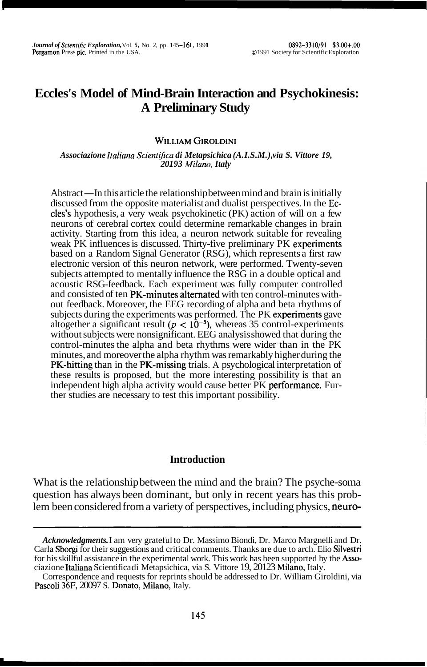# **Eccles's Model of Mind-Brain Interaction and Psychokinesis: A Preliminary Study**

### **WILLIAM GIROLDINI**

*Associazione Italiana ScientiJica di Metapsichica (A.I.S.M.), via S. Vittore 19, 201 93 Milano, Italy* 

Abstract—In this article the relationship between mind and brain is initially discussed from the opposite materialist and dualist perspectives. In the Eccles's hypothesis, a very weak psychokinetic (PK) action of will on a few neurons of cerebral cortex could determine remarkable changes in brain activity. Starting from this idea, a neuron network suitable for revealing weak PK influences is discussed. Thirty-five preliminary PK experiments based on a Random Signal Generator (RSG), which represents a first raw electronic version of this neuron network, were performed. Twenty-seven subjects attempted to mentally influence the RSG in a double optical and acoustic RSG-feedback. Each experiment was fully computer controlled and consisted of ten PK-minutes alternated with ten control-minutes without feedback. Moreover, the EEG recording of alpha and beta rhythms of subjects during the experiments was performed. The PK experiments gave altogether a significant result  $(p < 10^{-5})$ , whereas 35 control-experiments without subjects were nonsignificant. EEG analysis showed that during the control-minutes the alpha and beta rhythms were wider than in the PK minutes, and moreover the alpha rhythm was remarkably higher during the PK-hitting than in the PK-missing trials. A psychological interpretation of these results is proposed, but the more interesting possibility is that an independent high alpha activity would cause better PK performance. Further studies are necessary to test this important possibility.

# **Introduction**

What is the relationship between the mind and the brain? The psyche-soma question has always been dominant, but only in recent years has this problem been considered from a variety of perspectives, including physics, neuro-

*Acknowledgments.* I am very grateful to Dr. Massimo Biondi, Dr. Marco Margnelli and Dr. Carla Sborgi for their suggestions and critical comments. Thanks are due to arch. Elio Silvestri for his skillful assistance in the experimental work. This work has been supported by the Associazione Italiana Scientifica di Metapsichica, via S. Vittore 19, 20123 Milano, Italy.

Correspondence and requests for reprints should be addressed to Dr. William Giroldini, via Pascoli **36F,** 20097 S. Donato, Milano, Italy.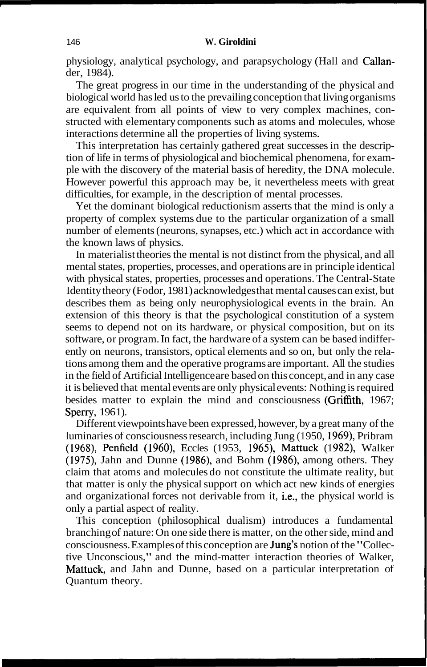physiology, analytical psychology, and parapsychology (Hall and Callander, 1984).

The great progress in our time in the understanding of the physical and biological world has led us to the prevailing conception that living organisms are equivalent from all points of view to very complex machines, constructed with elementary components such as atoms and molecules, whose interactions determine all the properties of living systems.

This interpretation has certainly gathered great successes in the description of life in terms of physiological and biochemical phenomena, for example with the discovery of the material basis of heredity, the DNA molecule. However powerful this approach may be, it nevertheless meets with great difficulties, for example, in the description of mental processes.

Yet the dominant biological reductionism asserts that the mind is only a property of complex systems due to the particular organization of a small number of elements (neurons, synapses, etc.) which act in accordance with the known laws of physics.

In materialist theories the mental is not distinct from the physical, and all mental states, properties, processes, and operations are in principle identical with physical states, properties, processes and operations. The Central-State Identity theory (Fodor, 1981) acknowledges that mental causes can exist, but describes them as being only neurophysiological events in the brain. An extension of this theory is that the psychological constitution of a system seems to depend not on its hardware, or physical composition, but on its software, or program. In fact, the hardware of a system can be based indifferently on neurons, transistors, optical elements and so on, but only the relations among them and the operative programs are important. All the studies in the field of Artificial Intelligence are based on this concept, and in any case it is believed that mental events are only physical events: Nothing is required besides matter to explain the mind and consciousness (Griffith, 1967; Sperry, 1961).

Different viewpoints have been expressed, however, by a great many of the luminaries of consciousness research, including Jung (1950, 1969), Pribram (1968), Penfield (1960), Eccles (1953, 1965), Mattuck (1982), Walker (1975), Jahn and Dunne (1986), and Bohm (1986), among others. They claim that atoms and molecules do not constitute the ultimate reality, but that matter is only the physical support on which act new kinds of energies and organizational forces not derivable from it, i.e., the physical world is only a partial aspect of reality.

This conception (philosophical dualism) introduces a fundamental branching of nature: On one side there is matter, on the other side, mind and consciousness. Examples of this conception are Jung's notion of the "Collective Unconscious," and the mind-matter interaction theories of Walker, Mattuck, and Jahn and Dunne, based on a particular interpretation of Quantum theory.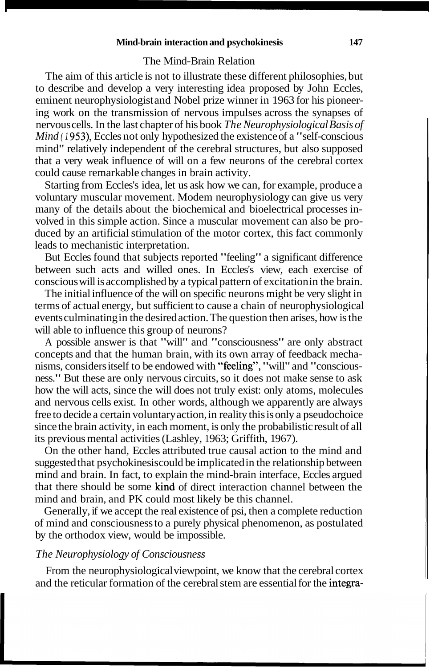#### **Mind-brain interaction and psychokinesis 147**

# The Mind-Brain Relation

The aim of this article is not to illustrate these different philosophies, but to describe and develop a very interesting idea proposed by John Eccles, eminent neurophysiologist and Nobel prize winner in 1963 for his pioneering work on the transmission of nervous impulses across the synapses of nervous cells. In the last chapter of his book *The Neurophysiological Basis of Mind (1953)*, Eccles not only hypothesized the existence of a "self-conscious" mind" relatively independent of the cerebral structures, but also supposed that a very weak influence of will on a few neurons of the cerebral cortex could cause remarkable changes in brain activity.

Starting from Eccles's idea, let us ask how we can, for example, produce a voluntary muscular movement. Modem neurophysiology can give us very many of the details about the biochemical and bioelectrical processes involved in this simple action. Since a muscular movement can also be produced by an artificial stimulation of the motor cortex, this fact commonly leads to mechanistic interpretation.

But Eccles found that subjects reported "feeling" a significant difference between such acts and willed ones. In Eccles's view, each exercise of conscious will is accomplished by a typical pattern of excitation in the brain.

The initial influence of the will on specific neurons might be very slight in terms of actual energy, but sufficient to cause a chain of neurophysiological events culminating in the desired action. The question then arises, how is the will able to influence this group of neurons?

A possible answer is that "will" and "consciousness" are only abstract concepts and that the human brain, with its own array of feedback mechanisms, considers itself to be endowed with "feeling", "will" and "consciousness." But these are only nervous circuits, so it does not make sense to ask how the will acts, since the will does not truly exist: only atoms, molecules and nervous cells exist. In other words, although we apparently are always free to decide a certain voluntary action, in reality this is only a pseudochoice since the brain activity, in each moment, is only the probabilistic result of all its previous mental activities (Lashley, 1963; Griffith, 1967).

On the other hand, Eccles attributed true causal action to the mind and suggested that psychokinesis could be implicated in the relationship between mind and brain. In fact, to explain the mind-brain interface, Eccles argued that there should be some kind of direct interaction channel between the mind and brain, and PK could most likely be this channel.

Generally, if we accept the real existence of psi, then a complete reduction of mind and consciousness to a purely physical phenomenon, as postulated by the orthodox view, would be impossible.

### *The Neurophysiology of Consciousness*

From the neurophysiological viewpoint, we know that the cerebral cortex and the reticular formation of the cerebral stem are essential for the integra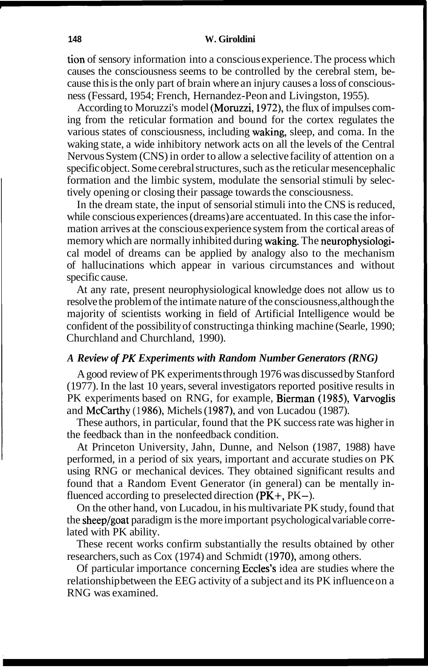tion of sensory information into a conscious experience. The process which causes the consciousness seems to be controlled by the cerebral stem, because this is the only part of brain where an injury causes a loss of consciousness (Fessard, 1954; French, Hernandez-Peon and Livingston, 1955).

According to Moruzzi's model (Moruzzi, 1972), the flux of impulses coming from the reticular formation and bound for the cortex regulates the various states of consciousness, including waking, sleep, and coma. In the waking state, a wide inhibitory network acts on all the levels of the Central Nervous System (CNS) in order to allow a selective facility of attention on a specific object. Some cerebral structures, such as the reticular mesencephalic formation and the limbic system, modulate the sensorial stimuli by selectively opening or closing their passage towards the consciousness.

In the dream state, the input of sensorial stimuli into the CNS is reduced, while conscious experiences (dreams) are accentuated. In this case the information arrives at the conscious experience system from the cortical areas of memory which are normally inhibited during waking. The neurophysiological model of dreams can be applied by analogy also to the mechanism of hallucinations which appear in various circumstances and without specific cause.

At any rate, present neurophysiological knowledge does not allow us to resolve the problem of the intimate nature of the consciousness, although the majority of scientists working in field of Artificial Intelligence would be confident of the possibility of constructing a thinking machine (Searle, 1990; Churchland and Churchland, 1990).

### *A Review of PK Experiments with Random Number Generators (RNG)*

A good review of PK experiments through 1976 was discussed by Stanford (1977). In the last 10 years, several investigators reported positive results in PK experiments based on RNG, for example, Bierman (1985), Varvoglis and McCarthy (1986), Michels (1987), and von Lucadou (1987).

These authors, in particular, found that the PK success rate was higher in the feedback than in the nonfeedback condition.

At Princeton University, Jahn, Dunne, and Nelson (1987, 1988) have performed, in a period of six years, important and accurate studies on PK using RNG or mechanical devices. They obtained significant results and found that a Random Event Generator (in general) can be mentally influenced according to preselected direction  $(PK^+, PK-)$ .

On the other hand, von Lucadou, in his multivariate PK study, found that the sheep/goat paradigm is the more important psychological variable correlated with PK ability.

These recent works confirm substantially the results obtained by other researchers, such as Cox (1974) and Schmidt (1970), among others.

Of particular importance concerning Eccles's idea are studies where the relationship between the EEG activity of a subject and its PK influence on a RNG was examined.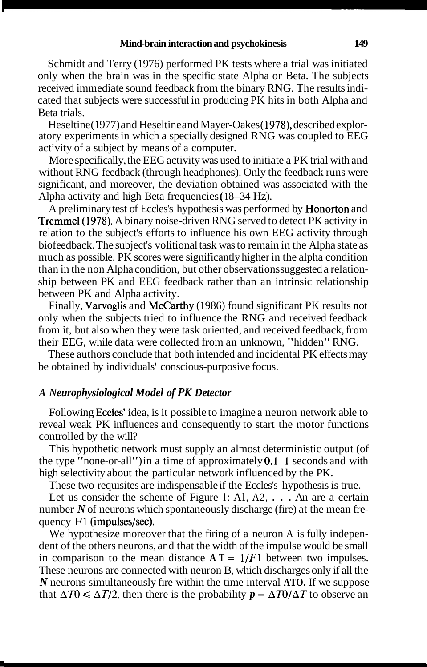Schmidt and Terry (1976) performed PK tests where a trial was initiated only when the brain was in the specific state Alpha or Beta. The subjects received immediate sound feedback from the binary RNG. The results indicated that subjects were successful in producing PK hits in both Alpha and Beta trials.

Heseltine (1977) and Heseltine and Mayer-Oakes (1978), described exploratory experiments in which a specially designed RNG was coupled to EEG activity of a subject by means of a computer.

More specifically, the EEG activity was used to initiate a PK trial with and without RNG feedback (through headphones). Only the feedback runs were significant, and moreover, the deviation obtained was associated with the Alpha activity and high Beta frequencies (18–34 Hz).

A preliminary test of Eccles's hypothesis was performed by Honorton and Tremmel (1978). A binary noise-driven RNG served to detect PK activity in relation to the subject's efforts to influence his own EEG activity through biofeedback. The subject's volitional task was to remain in the Alpha state as much as possible. PK scores were significantly higher in the alpha condition than in the non Alpha condition, but other observations suggested a relationship between PK and EEG feedback rather than an intrinsic relationship between PK and Alpha activity.

Finally, Varvoglis and McCarthy (1986) found significant PK results not only when the subjects tried to influence the RNG and received feedback from it, but also when they were task oriented, and received feedback, from their EEG, while data were collected from an unknown, "hidden" RNG.

These authors conclude that both intended and incidental PK effects may be obtained by individuals' conscious-purposive focus.

# *A Neurophysiological Model of PK Detector*

Following Eccles' idea, is it possible to imagine a neuron network able to reveal weak PK influences and consequently to start the motor functions controlled by the will?

This hypothetic network must supply an almost deterministic output (of the type "none-or-all") in a time of approximately 0.1-1 seconds and with high selectivity about the particular network influenced by the PK.

These two requisites are indispensable if the Eccles's hypothesis is true.

Let us consider the scheme of Figure 1: Al, A2, ... An are a certain number N of neurons which spontaneously discharge (fire) at the mean frequency  $F1$  (impulses/sec).

We hypothesize moreover that the firing of a neuron A is fully independent of the others neurons, and that the width of the impulse would be small in comparison to the mean distance  $A T = 1/F1$  between two impulses. These neurons are connected with neuron B, which discharges only if all the *N* neurons simultaneously fire within the time interval **ATO.** If we suppose that  $\Delta T0 \le \Delta T/2$ , then there is the probability  $p = \Delta T0/\Delta T$  to observe an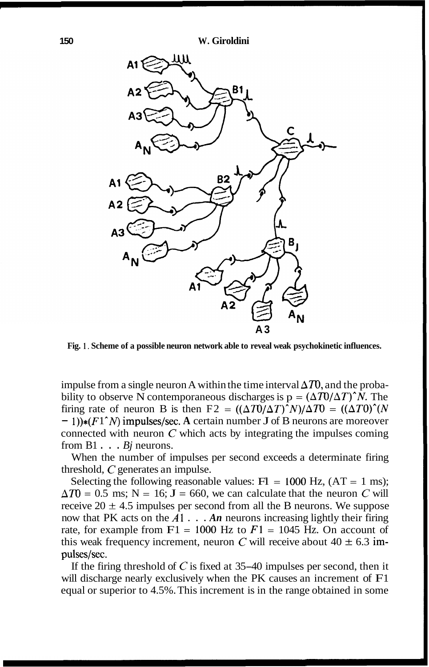

**Fig.** 1. **Scheme of a possible neuron network able to reveal weak psychokinetic influences.** 

impulse from a single neuron A within the time interval  $\Delta T$ , and the probability to observe N contemporaneous discharges is  $p = (\Delta T U / \Delta T)^{n}N$ . The firing rate of neuron B is then  $F2 = ((\Delta T)(\Delta T)^N)/\Delta T0 = ((\Delta T0)^N)(N)$  $- 1$ ))\*( $F1^N$ ) impulses/sec. A certain number J of B neurons are moreover connected with neuron *C* which acts by integrating the impulses coming from  $B1 \tldots \t*Bj*$  neurons.

When the number of impulses per second exceeds a determinate firing threshold, *C* generates an impulse.

Selecting the following reasonable values:  $F1 = 1000$  Hz,  $(AT = 1$  ms);  $\Delta T0 = 0.5$  ms; N = 16; J = 660, we can calculate that the neuron C will receive 20  $\pm$  4.5 impulses per second from all the B neurons. We suppose now that PK acts on the  $A1 \ldots An$  neurons increasing lightly their firing rate, for example from  $F1 = 1000$  Hz to  $F1 = 1045$  Hz. On account of this weak frequency increment, neuron *C* will receive about  $40 \pm 6.3$  impulses/sec.

If the firing threshold of *<sup>C</sup>*is fixed at 35-40 impulses per second, then it will discharge nearly exclusively when the PK causes an increment of  $F1$ equal or superior to 4.5%. This increment is in the range obtained in some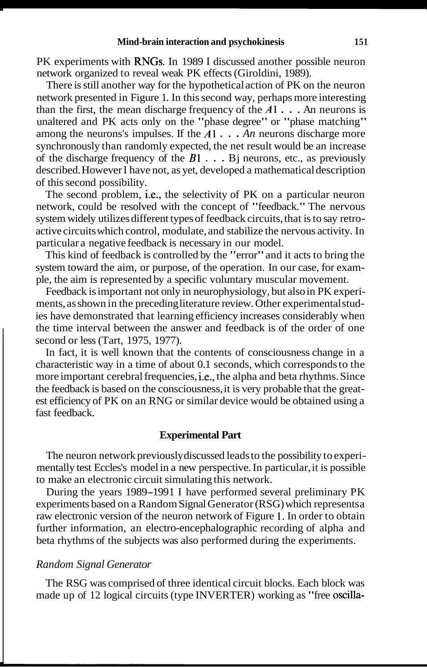PK experiments with RNGs. In 1989 I discussed another possible neuron network organized to reveal weak PK effects (Giroldini, 1989).

There is still another way for the hypothetical action of PK on the neuron network presented in Figure 1. In this second way, perhaps more interesting than the first, the mean discharge frequency of the  $A1$ . . . An neurons is unaltered and PK acts only on the "phase degree" or "phase matching" among the neurons's impulses. If the *A1* . . . *An* neurons discharge more synchronously than randomly expected, the net result would be an increase of the discharge frequency of the  $B1$ ... Bj neurons, etc., as previously described. However I have not, as yet, developed a mathematical description of this second possibility.

The second problem, i.e., the selectivity of PK on a particular neuron network, could be resolved with the concept of "feedback." The nervous system widely utilizes different types of feedback circuits, that is to say retroactive circuits which control, modulate, and stabilize the nervous activity. In particular a negative feedback is necessary in our model.

This kind of feedback is controlled by the "error" and it acts to bring the system toward the aim, or purpose, of the operation. In our case, for example, the aim is represented by a specific voluntary muscular movement.

Feedback is important not only in neurophysiology, but also in PK experiments, as shown in the preceding literature review. Other experimental studies have demonstrated that learning efficiency increases considerably when the time interval between the answer and feedback is of the order of one second or less (Tart, 1975, 1977).

In fact, it is well known that the contents of consciousness change in a characteristic way in a time of about 0.1 seconds, which corresponds to the more important cerebral frequencies, i.e., the alpha and beta rhythms. Since the feedback is based on the consciousness, it is very probable that the greatest efficiency of PK on an RNG or similar device would be obtained using a fast feedback.

# **Experimental Part**

The neuron network previously discussed leads to the possibility to experimentally test Eccles's model in a new perspective. In particular, it is possible to make an electronic circuit simulating this network.

During the years 1989–1991 I have performed several preliminary PK experiments based on a Random Signal Generator (RSG) which represents a raw electronic version of the neuron network of Figure 1. In order to obtain further information, an electro-encephalographic recording of alpha and beta rhythms of the subjects was also performed during the experiments.

# *Random Signal Generator*

The RSG was comprised of three identical circuit blocks. Each block was made up of 12 logical circuits (type INVERTER) working as "free oscilla-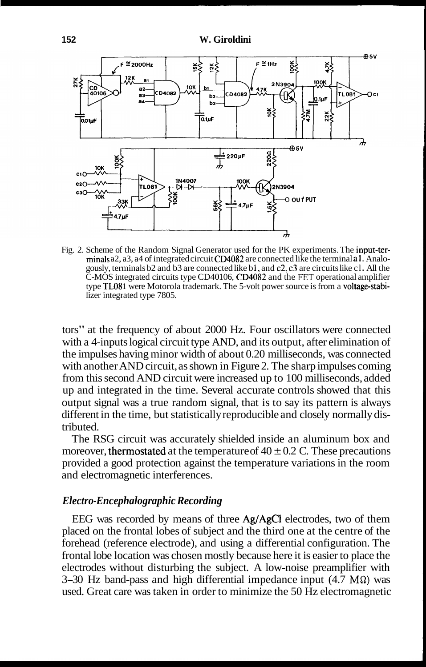

Fig. 2. Scheme of the Random Signal Generator used for the PK experiments. The input-terminals a2, a3, a4 of integrated circuit CD4082 are connected like the terminal a1. Analogously, terminals b2 and b3 are connected like b **1,** and c2, c3 are circuits like cl . All the C-MOS integrated circuits type CD40 106, CD4082 and the **FET** operational amplifier type TL08 1 were Motorola trademark. The 5-volt power source is from a voltage-stabilizer integrated type 7805.

tors" at the frequency of about 2000 Hz. Four oscillators were connected with a 4-inputs logical circuit type AND, and its output, after elimination of the impulses having minor width of about 0.20 milliseconds, was connected with another AND circuit, as shown in Figure 2. The sharp impulses coming from this second AND circuit were increased up to 100 milliseconds, added up and integrated in the time. Several accurate controls showed that this output signal was a true random signal, that is to say its pattern is always different in the time, but statistically reproducible and closely normally distributed.

The RSG circuit was accurately shielded inside an aluminum box and moreover, thermostated at the temperature of  $40 \pm 0.2$  C. These precautions provided a good protection against the temperature variations in the room and electromagnetic interferences.

# *Electro-Encephalographic Recording*

EEG was recorded by means of three Ag/AgCl electrodes, two of them placed on the frontal lobes of subject and the third one at the centre of the forehead (reference electrode), and using a differential configuration. The frontal lobe location was chosen mostly because here it is easier to place the electrodes without disturbing the subject. A low-noise preamplifier with 3–30 Hz band-pass and high differential impedance input  $(4.7 \text{ M}\Omega)$  was used. Great care was taken in order to minimize the 50 Hz electromagnetic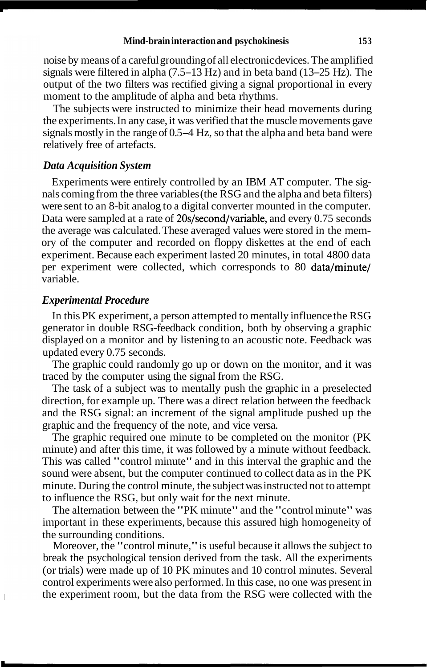noise by means of a careful grounding of all electronic devices. The amplified signals were filtered in alpha  $(7.5-13 \text{ Hz})$  and in beta band  $(13-25 \text{ Hz})$ . The output of the two filters was rectified giving a signal proportional in every moment to the amplitude of alpha and beta rhythms.

The subjects were instructed to minimize their head movements during the experiments. In any case, it was verified that the muscle movements gave signals mostly in the range of 0.5-4 Hz, so that the alpha and beta band were relatively free of artefacts.

# *Data Acquisition System*

Experiments were entirely controlled by an IBM AT computer. The signals coming from the three variables (the RSG and the alpha and beta filters) were sent to an 8-bit analog to a digital converter mounted in the computer. Data were sampled at a rate of 20s/second/variable, and every 0.75 seconds the average was calculated. These averaged values were stored in the memory of the computer and recorded on floppy diskettes at the end of each experiment. Because each experiment lasted 20 minutes, in total 4800 data per experiment were collected, which corresponds to 80 data/minute/ variable.

### *Experimental Procedure*

In this PK experiment, a person attempted to mentally influence the RSG generator in double RSG-feedback condition, both by observing a graphic displayed on a monitor and by listening to an acoustic note. Feedback was updated every 0.75 seconds.

The graphic could randomly go up or down on the monitor, and it was traced by the computer using the signal from the RSG.

The task of a subject was to mentally push the graphic in a preselected direction, for example up. There was a direct relation between the feedback and the RSG signal: an increment of the signal amplitude pushed up the graphic and the frequency of the note, and vice versa.

The graphic required one minute to be completed on the monitor (PK minute) and after this time, it was followed by a minute without feedback. This was called "control minute" and in this interval the graphic and the sound were absent, but the computer continued to collect data as in the PK minute. During the control minute, the subject was instructed not to attempt to influence the RSG, but only wait for the next minute.

The alternation between the "PK minute" and the "control minute" was important in these experiments, because this assured high homogeneity of the surrounding conditions.

Moreover, the "control minute," is useful because it allows the subject to break the psychological tension derived from the task. All the experiments (or trials) were made up of 10 PK minutes and 10 control minutes. Several control experiments were also performed. In this case, no one was present in the experiment room, but the data from the RSG were collected with the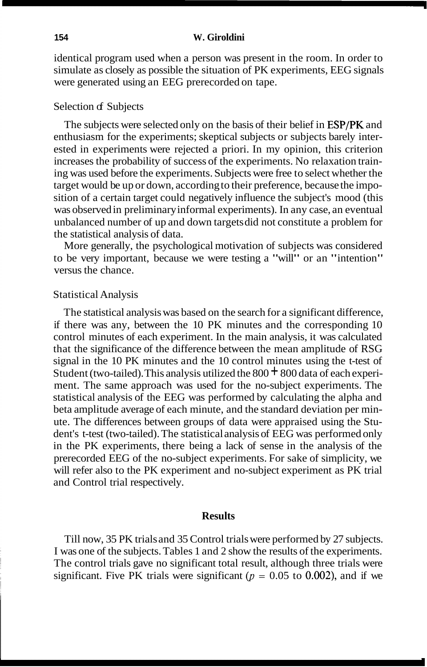#### **154 W. Giroldini**

identical program used when a person was present in the room. In order to simulate as closely as possible the situation of PK experiments, EEG signals were generated using an EEG prerecorded on tape.

### Selection of Subjects

The subjects were selected only on the basis of their belief in ESP/PK and enthusiasm for the experiments; skeptical subjects or subjects barely interested in experiments were rejected a priori. In my opinion, this criterion increases the probability of success of the experiments. No relaxation training was used before the experiments. Subjects were free to select whether the target would be up or down, according to their preference, because the imposition of a certain target could negatively influence the subject's mood (this was observed in preliminary informal experiments). In any case, an eventual unbalanced number of up and down targets did not constitute a problem for the statistical analysis of data.

More generally, the psychological motivation of subjects was considered to be very important, because we were testing a "will" or an "intention" versus the chance.

### Statistical Analysis

The statistical analysis was based on the search for a significant difference, if there was any, between the 10 PK minutes and the corresponding 10 control minutes of each experiment. In the main analysis, it was calculated that the significance of the difference between the mean amplitude of RSG signal in the 10 PK minutes and the 10 control minutes using the t-test of Student (two-tailed). This analysis utilized the  $800 + 800$  data of each experiment. The same approach was used for the no-subject experiments. The statistical analysis of the EEG was performed by calculating the alpha and beta amplitude average of each minute, and the standard deviation per minute. The differences between groups of data were appraised using the Student's t-test (two-tailed). The statistical analysis of EEG was performed only in the PK experiments, there being a lack of sense in the analysis of the prerecorded EEG of the no-subject experiments. For sake of simplicity, we will refer also to the PK experiment and no-subject experiment as PK trial and Control trial respectively.

#### **Results**

Till now, 35 PK trials and 35 Control trials were performed by 27 subjects. I was one of the subjects. Tables 1 and 2 show the results of the experiments. The control trials gave no significant total result, although three trials were significant. Five PK trials were significant ( $p = 0.05$  to 0.002), and if we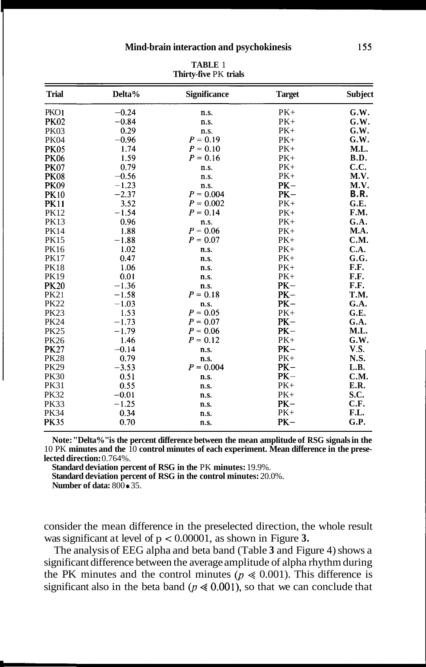| <b>Trial</b> | Delta%  | <b>Significance</b> | <b>Target</b> | Subject     |
|--------------|---------|---------------------|---------------|-------------|
| <b>PKO1</b>  | $-0.24$ | n.s.                | $PK+$         | G.W.        |
| <b>PK02</b>  | $-0.84$ | n.s.                | $PK+$         | G.W.        |
| <b>PK03</b>  | 0.29    | n.s.                | $PK+$         | G.W.        |
| <b>PK04</b>  | $-0.96$ | $P = 0.19$          | $PK+$         | G.W.        |
| <b>PK05</b>  | 1.74    | $P = 0.10$          | $PK+$         | M.L.        |
| <b>PK06</b>  | 1.59    | $P = 0.16$          | $PK+$         | B.D.        |
| <b>PK07</b>  | 0.79    | n.s.                | $PK+$         | C.C.        |
| <b>PK08</b>  | $-0.56$ | n.s.                | $PK+$         | M.V.        |
| <b>PK09</b>  | $-1.23$ | n.s.                | $PK-$         | M.V.        |
| <b>PK10</b>  | $-2.37$ | $P = 0.004$         | $PK-$         | B.R.        |
| <b>PK11</b>  | 3.52    | $P = 0.002$         | $PK+$         | G.E.        |
| <b>PK12</b>  | $-1.54$ | $P = 0.14$          | $PK+$         | F.M.        |
| <b>PK13</b>  | 0.96    | n.s.                | $PK+$         | G.A.        |
| <b>PK14</b>  | 1.88    | $P = 0.06$          | $PK+$         | M.A.        |
| <b>PK15</b>  | $-1.88$ | $P = 0.07$          | $PK+$         | C.M.        |
| <b>PK16</b>  | 1.02    | n.s.                | $PK+$         | C.A.        |
| <b>PK17</b>  | 0.47    | n.s.                | $PK+$         | G.G.        |
| <b>PK18</b>  | 1.06    | n.s.                | $PK+$         | F.F.        |
| <b>PK19</b>  | 0.01    | n.s.                | $PK+$         | F.F.        |
| <b>PK20</b>  | $-1.36$ | n.s.                | $PK-$         | F.F.        |
| <b>PK21</b>  | $-1.58$ | $P = 0.18$          | $PK-$         | T.M.        |
| <b>PK22</b>  | $-1.03$ | n.s.                | $PK-$         | G.A.        |
| <b>PK23</b>  | 1.53    | $P = 0.05$          | $PK+$         | G.E.        |
| <b>PK24</b>  | $-1.73$ | $P = 0.07$          | $PK-$         | G.A.        |
| <b>PK25</b>  | $-1.79$ | $P = 0.06$          | $PK-$         | M.L.        |
| <b>PK26</b>  | 1.46    | $P = 0.12$          | $PK+$         | G.W.        |
| <b>PK27</b>  | $-0.14$ | n.s.                | $PK-$         | <b>V.S.</b> |
| <b>PK28</b>  | 0.79    | n.s.                | $PK+$         | N.S.        |
| <b>PK29</b>  | $-3.53$ | $P = 0.004$         | $PK-$         | L.B.        |
| <b>PK30</b>  | 0.51    | n.s.                | $PK-$         | <b>C.M.</b> |
| <b>PK31</b>  | 0.55    | n.s.                | $PK+$         | E.R.        |
| <b>PK32</b>  | $-0.01$ | n.s.                | $PK+$         | S.C.        |
| <b>PK33</b>  | $-1.25$ | n.s.                | $PK-$         | C.F.        |
| <b>PK34</b>  | 0.34    | n.s.                | $PK+$         | F.L.        |
| <b>PK35</b>  | 0.70    | n.s.                | $PK-$         | G.P.        |

**TABLE** 1 **Thirty-five** PK **trials** 

**Note: "Delta%" is the percent difference between the mean amplitude of RSG signals in the**  10 PK **minutes and the** 10 **control minutes of each experiment. Mean difference in the preselected direction:** 0.764%.

**Standard deviation percent of RSG in the** PK **minutes:** 19.9%.

**Standard deviation percent of RSG in the control minutes:** 20.0%.

**Number of data:** 800 \* 35.

consider the mean difference in the preselected direction, the whole result was significant at level of p < 0.00001, as shown in Figure **3.** 

The analysis of EEG alpha and beta band (Table **3** and Figure 4) shows a significant difference between the average amplitude of alpha rhythm during the PK minutes and the control minutes  $(p \ll 0.001)$ . This difference is significant also in the beta band ( $p \le 0.001$ ), so that we can conclude that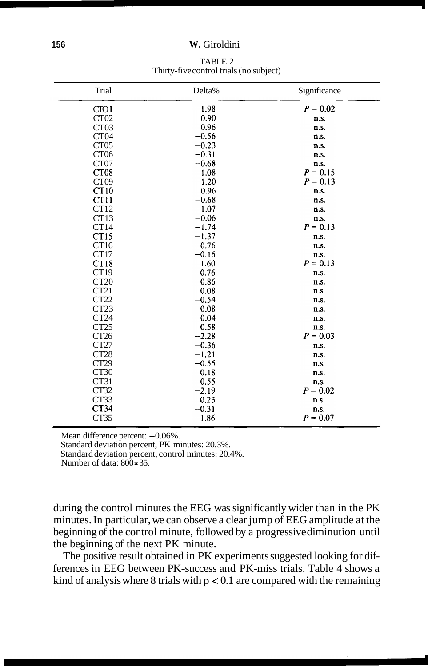#### **156 W.** Giroldini

TABLE 2 Thirty-five control trials (no subject)

| Trial            | Delta%  | Significance |
|------------------|---------|--------------|
| CTO1             | 1.98    | $P = 0.02$   |
| CT <sub>02</sub> | 0.90    | n.s.         |
| CT <sub>03</sub> | 0.96    | n.s.         |
| CT <sub>04</sub> | $-0.56$ | n.s.         |
| CT <sub>05</sub> | $-0.23$ | n.s.         |
| CT <sub>06</sub> | $-0.31$ | n.s.         |
| CT07             | $-0.68$ | n.s.         |
| CT <sub>08</sub> | $-1.08$ | $P = 0.15$   |
| CT <sub>09</sub> | 1.20    | $P = 0.13$   |
| CT10             | 0.96    | n.s.         |
| CT11             | $-0.68$ | n.s.         |
| CT12             | $-1.07$ | n.s.         |
| CT13             | $-0.06$ | n.s.         |
| CT14             | $-1.74$ | $P = 0.13$   |
| CT15             | $-1.37$ | n.s.         |
| CT16             | 0.76    | n.s.         |
| CT17             | $-0.16$ | n.s.         |
| CT18             | 1.60    | $P = 0.13$   |
| CT19             | 0.76    | n.s.         |
| CT <sub>20</sub> | 0.86    | n.s.         |
| CT21             | 0.08    | n.s.         |
| CT22             | $-0.54$ | n.s.         |
| CT23             | 0.08    | n.s.         |
| CT <sub>24</sub> | 0.04    | n.s.         |
| CT25             | 0.58    | n.s.         |
| CT26             | $-2.28$ | $P = 0.03$   |
| CT27             | $-0.36$ | n.s.         |
| CT28             | $-1.21$ | n.s.         |
| CT <sub>29</sub> | $-0.55$ | n.s.         |
| CT <sub>30</sub> | 0.18    | n.s.         |
| CT31             | 0.55    | n.s.         |
| CT32             | $-2.19$ | $P = 0.02$   |
| CT33             | $-0.23$ | n.s.         |
| CT34             | $-0.31$ | n.s.         |
| CT35             | 1.86    | $P = 0.07$   |

Mean difference percent: -0.06%. Standard deviation percent, PK minutes: 20.3%.

Standard deviation percent, control minutes: 20.4%.

Number of data:  $800*35$ .

during the control minutes the EEG was significantly wider than in the PK minutes. In particular, we can observe a clear jump of EEG amplitude at the beginning of the control minute, followed by a progressive diminution until the beginning of the next PK minute.

The positive result obtained in PK experiments suggested looking for differences in EEG between PK-success and PK-miss trials. Table 4 shows a kind of analysis where 8 trials with  $p < 0.1$  are compared with the remaining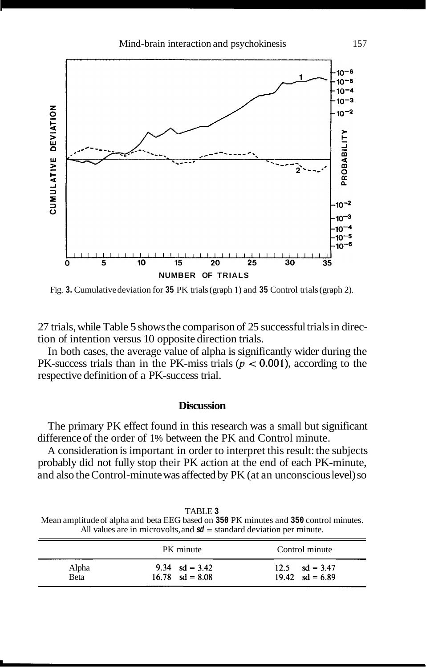

Fig. **3.** Cumulative deviation for **35** PK trials (graph 1) and **35** Control trials (graph 2).

27 trials, while Table 5 shows the comparison of 25 successful trials in direction of intention versus 10 opposite direction trials.

In both cases, the average value of alpha is significantly wider during the PK-success trials than in the PK-miss trials  $(p < 0.001)$ , according to the respective definition of a PK-success trial.

### **Discussion**

The primary PK effect found in this research was a small but significant difference of the order of 1% between the PK and Control minute.

A consideration is important in order to interpret this result: the subjects probably did not fully stop their PK action at the end of each PK-minute, and also the Control-minute was affected by PK (at an unconscious level) so

TABLE **3**  Mean amplitude of alpha and beta EEG based on **350** PK minutes and **350** control minutes. All values are in microvolts, and **sd** = standard deviation per minute.

|               | PK minute                                     | Control minute                                |
|---------------|-----------------------------------------------|-----------------------------------------------|
| Alpha<br>Beta | 9.34 $sd = 3.42$<br>$16.78 \text{ sd} = 8.08$ | $12.5 \text{ sd} = 3.47$<br>19.42 $sd = 6.89$ |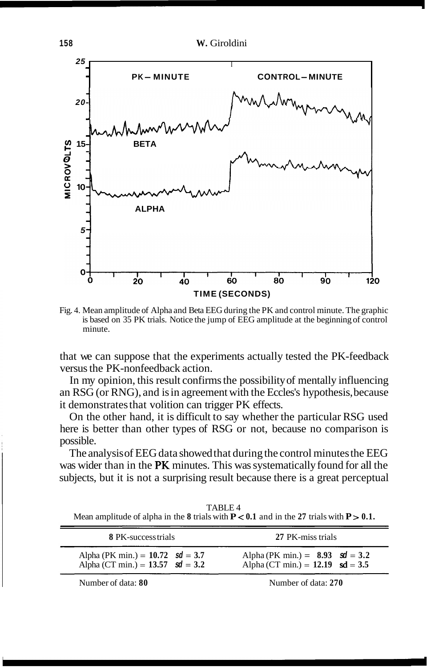

Fig. 4. Mean amplitude of Alpha and Beta EEG during the PK and control minute. The graphic is based on 35 PK trials. Notice the jump of EEG amplitude at the beginning of control minute.

that we can suppose that the experiments actually tested the PK-feedback versus the PK-nonfeedback action.

In my opinion, this result confirms the possibility of mentally influencing an RSG (or RNG), and is in agreement with the Eccles's hypothesis, because it demonstrates that volition can trigger PK effects.

On the other hand, it is difficult to say whether the particular RSG used here is better than other types of RSG or not, because no comparison is possible.

The analysis of EEG data showed that during the control minutes the EEG was wider than in the PK minutes. This was systematically found for all the subjects, but it is not a surprising result because there is a great perceptual

TABLE 4 Mean amplitude of alpha in the 8 trials with  $P < 0.1$  and in the 27 trials with  $P > 0.1$ .

| <b>8 PK-success trials</b>                                                 | 27 PK-miss trials                                                         |
|----------------------------------------------------------------------------|---------------------------------------------------------------------------|
| Alpha (PK min.) = $10.72$ sd = 3.7<br>Alpha (CT min.) = $13.57$ sd = $3.2$ | Alpha (PK min.) = $8.93$ sd = 3.2<br>Alpha (CT min.) = $12.19$ sd = $3.5$ |
| Number of data: $80$                                                       | Number of data: $270$                                                     |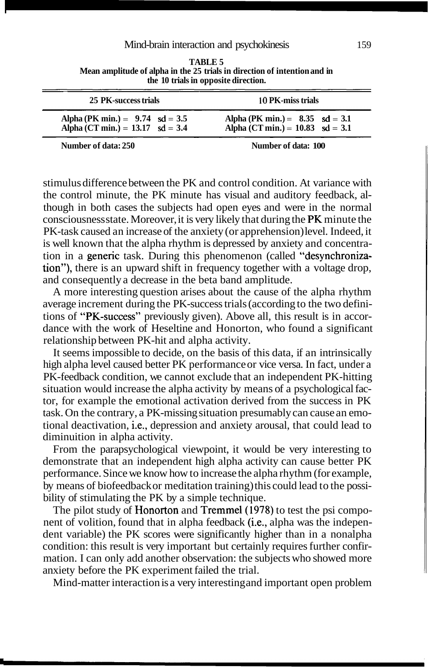#### Mind-brain interaction and psychokinesis 159

| 25 PK-success trials                       | 10 PK-miss trials                         |  |
|--------------------------------------------|-------------------------------------------|--|
| Alpha (PK min.) = $9.74$ sd = 3.5          | Alpha (PK min.) = $8.35 \text{ sd} = 3.1$ |  |
| Alpha (CT min.) = $13.17 \text{ sd} = 3.4$ | Alpha (CT min.) = $10.83$ sd = 3.1        |  |
| Number of data: 250                        | Number of data: 100                       |  |

**TABLE 5 Mean amplitude of alpha in the 25 trials in direction of intention and in**  Mind-brain interaction and psychok<br>
TABLE 5<br>
Mean amplitude of alpha in the 25 trials in direction<br>
the 10 trials in opposite direction.<br>
25 PK-success trials<br>
10

stimulus difference between the PK and control condition. At variance with the control minute, the PK minute has visual and auditory feedback, although in both cases the subjects had open eyes and were in the normal consciousness state. Moreover, it is very likely that during the PK minute the PK-task caused an increase of the anxiety (or apprehension) level. Indeed, it is well known that the alpha rhythm is depressed by anxiety and concentration in a generic task. During this phenomenon (called "desynchronization"), there is an upward shift in frequency together with a voltage drop, and consequently a decrease in the beta band amplitude.

A more interesting question arises about the cause of the alpha rhythm average increment during the PK-success trials (according to the two definitions of "PK-success" previously given). Above all, this result is in accordance with the work of Heseltine and Honorton, who found a significant relationship between PK-hit and alpha activity.

It seems impossible to decide, on the basis of this data, if an intrinsically high alpha level caused better PK performance or vice versa. In fact, under a PK-feedback condition, we cannot exclude that an independent PK-hitting situation would increase the alpha activity by means of a psychological factor, for example the emotional activation derived from the success in PK task. On the contrary, a PK-missing situation presumably can cause an emotional deactivation, i.e., depression and anxiety arousal, that could lead to diminuition in alpha activity.

From the parapsychological viewpoint, it would be very interesting to demonstrate that an independent high alpha activity can cause better PK performance. Since we know how to increase the alpha rhythm (for example, by means of biofeedback or meditation training) this could lead to the possibility of stimulating the PK by a simple technique.

The pilot study of **Honorton** and **Tremmel** (1978) to test the psi component of volition, found that in alpha feedback (i.e., alpha was the independent variable) the PK scores were significantly higher than in a nonalpha condition: this result is very important but certainly requires further confirmation. I can only add another observation: the subjects who showed more anxiety before the PK experiment failed the trial.

Mind-matter interaction is a very interesting and important open problem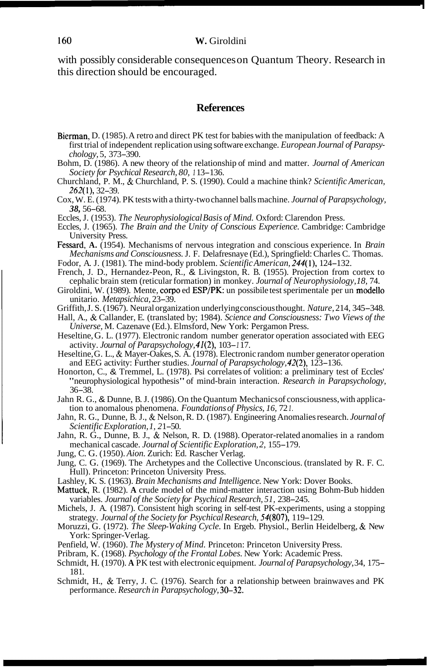with possibly considerable consequences on Quantum Theory. Research in this direction should be encouraged.

# **References**

- Bierman, D. (1985). A retro and direct PK test for babies with the manipulation of feedback: A first trial of independent replication using software exchange. *European Journal of Parapsychology,* 5, 373-390.
- Bohm, D. (1986). A new theory of the relationship of mind and matter. *Journal of American Society for Psychical Research, 80, 1* 13- 136.
- Churchland, P. M., & Churchland, P. S. (1990). Could a machine think? *Scientific American,*  262(1), 32-39.
- Cox, W. E. (1974). PK tests with a thirty-two channel balls machine. *Journal of Parapsychology, 38,* 56-68.
- Eccles, J. (1953). *The Neurophysiological Basis of Mind.* Oxford: Clarendon Press.
- Eccles, J. (1965). *The Brain and the Unity of Conscious Experience.* Cambridge: Cambridge University Press.
- Fessard, **A.** (1954). Mechanisms of nervous integration and conscious experience. In *Brain Mechanisms and Consciousness.* J. F. Delafresnaye (Ed.), Springfield: Charles C. Thomas. Fodor, A. J. (1 98 1). The mind-body problem. *Scientific American,* 244(1), 124- 132.
- French, J. D., Hernandez-Peon, R., & Livingston, R. B. (1955). Projection from cortex to cephalic brain stem (reticular formation) in monkey. *Journal of Neurophysiology, 18,* 74.
- Giroldini, W. (1989). Mente, corpo ed ESP/PK: un possibile test sperimentale per un modello unitario. *Metapsichica,* 23-39.
- Griffith, J. S. (1967). Neural organization underlying conscious thought. *Nature,* 214, 345-348.
- Hall, A., & Callander, E. (translated by; 1984). *Science and Consciousness: Two Views of the Universe,* M. Cazenave (Ed.). Elmsford, New York: Pergamon Press.
- Heseltine, G. L. (1977). Electronic random number generator operation associated with EEG activity. *Journal of Parapsychology,* 41(2), 103- *1* 17.
- Heseltine, G. L., & Mayer-Oakes, S. A. (1978). Electronic random number generator operation and EEG activity: Further studies. *Journal of Parapsychology,* 42(2), 123- 136.
- Honorton, C., & Tremmel, L. (1978). Psi correlates of volition: a preliminary test of Eccles' "neurophysiological hypothesis" of mind-brain interaction. *Research in Parapsychology,*  36-38.
- Jahn R. G., & Dunne, B. J. (1986). On the Quantum Mechanics of consciousness, with application to anomalous phenomena. *Foundations of Physics, 16,* 72 *1.*
- Jahn, R. G., Dunne, B. J., & Nelson, R. D. (1987). Engineering Anomalies research. *Journal of Scientific Exploration, 1, 2* 1-50.
- Jahn, R. G., Dunne, B. J., & Nelson, R. D. (1988). Operator-related anomalies in a random mechanical cascade. *Journal of Scientific Exploration*, 2, 155-179.
- Jung, C. G. (1950). *Aion.* Zurich: Ed. Rascher Verlag.
- Jung, C. G. (1969). The Archetypes and the Collective Unconscious. (translated by R. F. C. Hull). Princeton: Princeton University Press.
- Lashley, K. S. (1963). *Brain Mechanisms and Intelligence.* New York: Dover Books.
- Mattuck, R. (1982). **A** crude model of the mind-matter interaction using Bohm-Bub hidden variables. *Journal of the Society for Psychical Research, 51,* 238-245.
- Michels, J. A. (1987). Consistent high scoring in self-test PK-experiments, using a stopping strategy. Journal of the Society for Psychical Research, 54(807), 119-129.
- Moruzzi, G. (1972). *The Sleep- Waking Cycle.* In Ergeb. Physiol., Berlin Heidelberg, & New York: Springer-Verlag.
- Penfield, W. (1960). *The Mystery of Mind.* Princeton: Princeton University Press.
- Pribram, K. (1968). *Psychology of the Frontal Lobes.* New York: Academic Press.
- Schmidt, H. (1970). **A** PK test with electronic equipment. *Journal of Parapsychology,* 34, 175- 181.
- Schmidt, H., & Terry, J. C. (1976). Search for a relationship between brainwaves and PK performance. *Research in Parapsychology,* 30-32.